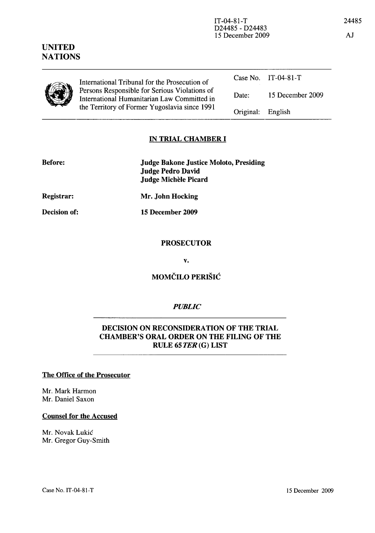| International Tribunal for the Prosecution of<br>Persons Responsible for Serious Violations of<br>International Humanitarian Law Committed in |                   | Case No. $IT-04-81-T$ |
|-----------------------------------------------------------------------------------------------------------------------------------------------|-------------------|-----------------------|
|                                                                                                                                               | Date:             | 15 December 2009      |
| the Territory of Former Yugoslavia since 1991                                                                                                 | Original: English |                       |
|                                                                                                                                               |                   |                       |

### IN TRIAL CHAMBER I

| <b>Before:</b> | <b>Judge Bakone Justice Moloto, Presiding</b> |
|----------------|-----------------------------------------------|
|                | Judge Pedro David                             |
|                | Judge Michèle Picard                          |

Registrar:

UNITED **NATIONS** 

 $\overline{\phantom{0}}$ 

Decision of:

Mr. John Hocking

15 December 2009

#### **PROSECUTOR**

v.

# MOMČILO PERIŠIĆ

# *PUBLIC*

## DECISION ON RECONSIDERATION OF THE TRIAL CHAMBER'S ORAL ORDER ON THE FILING OF THE RULE 65 TER (G) LIST

#### The Office of the Prosecutor

Mr. Mark Harmon Mr. Daniel Saxon

#### Counsel for the Accused

Mr. Novak Lukic Mr. Gregor Guy-Smith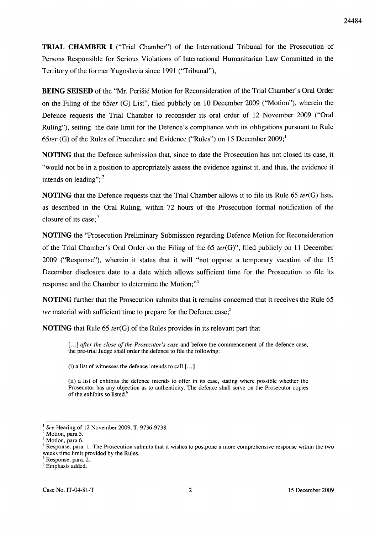**TRIAL CHAMBER I** ("Trial Chamber") of the International Tribunal for the Prosecution of Persons Responsible for Serious Violations of International Humanitarian Law Committed in the Territory of the former Yugoslavia since 1991 ("Tribunal"),

**BEING SEISED** of the "Mr. Perisic Motion for Reconsideration of the Trial Chamber's Oral Order on the Filing of the *65ter* (G) List", filed publicly on 10 December 2009 ("Motion"), wherein the Defence requests the Trial Chamber to reconsider its oral order of 12 November 2009 ("Oral Ruling"), setting the date limit for the Defence's compliance with its obligations pursuant to Rule *65ter* (G) of the Rules of Procedure and Evidence ("Rules") on 15 December 2009;<sup>1</sup>

**NOTING** that the Defence submission that, since to date the Prosecution has not closed its case, it "would not be in a position to appropriately assess the evidence against it, and thus, the evidence it intends on leading";  $2^2$ 

**NOTING** that the Defence requests that the Trial Chamber allows it to file its Rule 65 *ter(G)* lists, as described in the Oral Ruling, within 72 hours of the Prosecution formal notification of the closure of its case;<sup>3</sup>

**NOTING** the "Prosecution Preliminary Submission regarding Defence Motion for Reconsideration of the Trial Chamber's Oral Order on the Filing of the 65 *ter(G)",* filed publicly on 11 December 2009 ("Response"), wherein it states that it will "not oppose a temporary vacation of the 15 December disclosure date to a date which allows sufficient time for the Prosecution to file its response and the Chamber to determine the Motion;"<sup>4</sup>

**NOTING** further that the Prosecution submits that it remains concerned that it receives the Rule 65 *ter* material with sufficient time to prepare for the Defence case;<sup>5</sup>

**NOTING** that Rule 65 *ter(G)* of the Rules provides in its relevant part that

[...] *after the close of the Prosecutor's case* and before the commencement of the defence case, the pre-trial Judge shall order the defence to file the following:

 $(i)$  a list of witnesses the defence intends to call  $[...]$ 

(ii) a list of exhibits the defence intends to offer in its case, stating where possible whether the Prosecutor has any objection as to authenticity. The defence shall serve on the Prosecutor copies of the exhibits so listed.<sup>6</sup>

<sup>&</sup>lt;sup>1</sup> See Hearing of 12 November 2009, T. 9736-9738.

 $<sup>2</sup>$  Motion, para 5.</sup>

<sup>&</sup>lt;sup>3</sup> Motion, para 6.

<sup>&</sup>lt;sup>4</sup> Response, para. 1. The Prosecution submits that it wishes to postpone a more comprehensive response within the two weeks time limit provided by the Rules.

<sup>&</sup>lt;sup>5</sup> Response, para. 2.

<sup>&</sup>lt;sup>6</sup> Emphasis added.